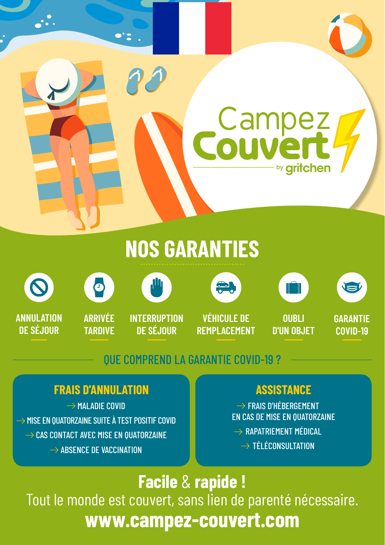# **NOS GARANTIES**













**Campez** 



**ANNULATION DE SÉJOUR**

**ARRIVÉE TARDIVE**

**INTERRUPTION DE SÉJOUR**

**VÉHICULE DE REMPLACEMENT**

**OUBLI D'UN OBJET**

by gritcher

**GARANTIE COVID-19**

# QUE COMPREND LA GARANTIE COVID-19 ?

# **FRAIS D'ANNULATION**

 $\rightarrow$  MALADIE COVID  $\rightarrow$  MISE EN OUATORZAINE SUITE À TEST POSITIF COVID  $\rightarrow$  CAS CONTACT AVEC MISE EN OUATORZAINE  $\rightarrow$  ABSENCE DE VACCINATION

# **ASSISTANCE**

 $\rightarrow$  FRAIS D'HÉBERGEMENT EN CAS DE MISE EN QUATORZAINE  $\rightarrow$  RAPATRIEMENT MÉDICAL  $\rightarrow$  Téléconsultation

**Facile** & **rapide !** Tout le monde est couvert, sans lien de parenté nécessaire. **www.campez-couvert.com**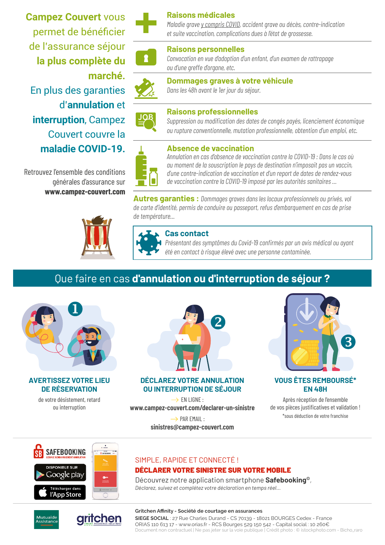**Campez Couvert** vous permet de bénéficier de l'assurance séjour **la plus complète du marché.** En plus des garanties d'**annulation** et **interruption**, Campez Couvert couvre la **maladie COVID-19.**

Retrouvez l'ensemble des conditions générales d'assurance sur





### **Dommages graves à votre véhicule**

*Dans les 48h avant le 1er jour du séjour.*

**Raisons médicales**

**Raisons personnelles**

*ou d'une greffe d'organe, etc.*



### **Raisons professionnelles**

**Absence de vaccination**

*Suppression ou modification des dates de congés payés, licenciement économique ou rupture conventionnelle, mutation professionnelle, obtention d'un emploi, etc.*

*Maladie grave y compris COVID, accident grave ou décès, contre-indication*

*Convocation en vue d'adoption d'un enfant, d'un examen de rattrapage*

*et suite vaccination, complications dues à l'état de grossesse.*

*Annulation en cas d'absence de vaccination contre la COVID-19 : Dans le cas où au moment de la souscription le pays de destination n'imposait pas un vaccin, d'une contre-indication de vaccination et d'un report de dates de rendez-vous de vaccination contre la COVID-19 imposé par les autorités sanitaires …*

**www.campez-couvert.com Autres garanties :** *Dommages graves dans les locaux professionnels ou privés, vol de carte d'identité, permis de conduire ou passeport, refus d'embarquement en cas de prise de température…*



### **Cas contact**

*Présentant des symptômes du Covid-19 confirmés par un avis médical ou ayant été en contact à risque élevé avec une personne contaminée.*

## Que faire en cas **d'annulation ou d'interruption de séjour ?**



### **AVERTISSEZ VOTRE LIEU DE RÉSERVATION**

de votre désistement, retard ou interruption



### **DÉCLAREZ VOTRE ANNULATION OU INTERRUPTION DE SÉJOUR**

 $\rightarrow$  EN LIGNE : **www.campez-couvert.com/declarer-un-sinistre**

> $\rightarrow$  PAR EMAIL : **sinistres@campez-couvert.com**



### **VOUS ÊTES REMBOURSÉ\* EN 48H**

Après réception de l'ensemble de vos pièces justificatives et validation ! \*sous déduction de votre franchise



### SIMPLE, RAPIDE ET CONNECTÉ !

### DÉCLARER VOTRE SINISTRE SUR VOTRE MOBILE

Découvrez notre application smartphone **Safebooking©**, *Déclarez, suivez et complétez votre déclaration en temps réel...*





### **Gritchen Affinity - Société de courtage en assurances**

**SIEGE SOCIAL** : 27 Rue Charles Durand - CS 70139 - 18021 BOURGES Cedex - France ORIAS 110 613 17 - www.orias.fr - RCS Bourges 529 150 542 - Capital social : 10 260€ Document non contractuel | Ne pas jeter sur la voie publique | Crédit photo : © istockphoto.com - Bicho\_raro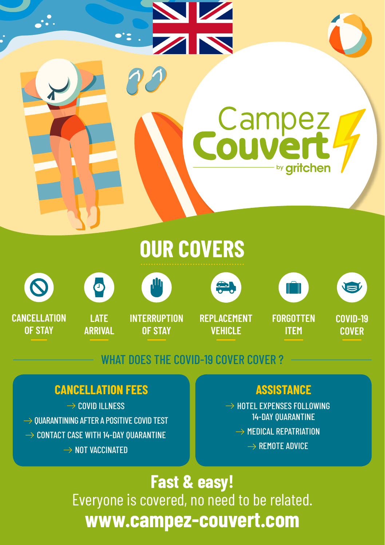

N













by gritcher

**Campez**<br>Couvert



**CANCELLATION OF STAY**

**LATE ARRIVAL**

**INTERRUPTION OF STAY**

**REPLACEMENT VEHICLE**

**FORGOTTEN ITEM**

**COVID-19 COVER**

# WHAT DOES THE COVID-19 COVER COVER ?

# **CANCELLATION FEES**

 $\rightarrow$  COVID ILLNESS  $\rightarrow$  Ouarantining after a positive covid test  $\rightarrow$  CONTACT CASE WITH 14-DAY OUARANTINE  $\rightarrow$  NOT VACCINATED

# **ASSISTANCE**

 $\rightarrow$  HOTEL EXPENSES FOLLOWING 14-DAY QUARANTINE  $\rightarrow$  Medical repatriation  $\rightarrow$  REMOTE ADVICE

**Fast & easy!** Everyone is covered, no need to be related. **www.campez-couvert.com**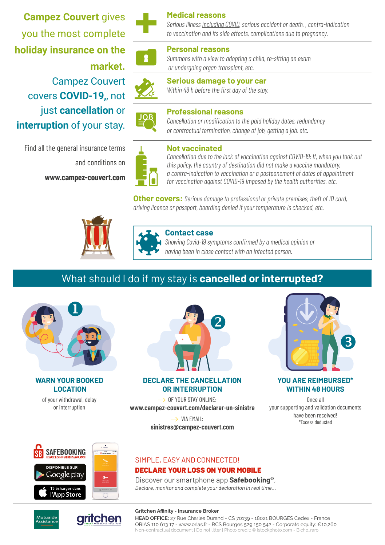**Campez Couvert** gives you the most complete **holiday insurance on the market.** Campez Couvert covers **COVID-19,**, not just **cancellation** or **interruption** of your stay.

Find all the general insurance terms and conditions on **www.campez-couvert.com**



**Serious damage to your car**

 *or undergoing organ transplant, etc.*

*Within 48 h before the first day of the stay.*



### **Professional reasons**

*Cancellation or modification to the paid holiday dates, redundancy or contractual termination, change of job, getting a job, etc.*

*Summons with a view to adopting a child, re-sitting an exam*

*Serious illness including COVID, serious accident or death, , contra-indication to vaccination and its side effects, complications due to pregnancy.*



### **Not vaccinated**

**Medical reasons**

**Personal reasons**

*Cancellation due to the lack of vaccination against COVID-19: If, when you took out this policy, the country of destination did not make a vaccine mandatory, a contra-indication to vaccination or a postponement of dates of appointment for vaccination against COVID-19 imposed by the health authorities, etc.*

**Other covers:** *Serious damage to professional or private premises, theft of ID card, driving licence or passport, boarding denied if your temperature is checked, etc.*



### **Contact case**

*Showing Covid-19 symptoms confirmed by a medical opinion or having been in close contact with an infected person.*

# What should I do if my stay is **cancelled or interrupted?**



### **WARN YOUR BOOKED LOCATION**

of your withdrawal, delay or interruption



### **DECLARE THE CANCELLATION OR INTERRUPTION**

 $\rightarrow$  OF YOUR STAY ONLINE:

**www.campez-couvert.com/declarer-un-sinistre**

 $\rightarrow$  VIA EMAIL: **sinistres@campez-couvert.com**



### **YOU ARE REIMBURSED\* WITHIN 48 HOURS**

Once all your supporting and validation documents have been received! \*Excess deducted



### SIMPLE, EASY AND CONNECTED!

### DECLARE YOUR LOSS ON YOUR MOBILE

Discover our smartphone app **Safebooking©**, *Declare, monitor and complete your declaration in real time...*





### **Gritchen Affinity - Insurance Broker**

**HEAD OFFICE:** 27 Rue Charles Durand - CS 70139 - 18021 BOURGES Cedex - France ORIAS 110 613 17 - www.orias.fr - RCS Bourges 529 150 542 - Corporate equity: €10,260 Non-contractual document | Do not litter | Photo credit: © istockphoto.com - Bicho\_raro

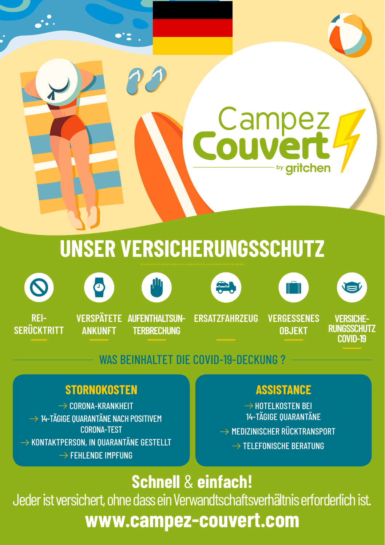# **UNSER VERSICHERUNGSSCHUTZ**











by aritcher



**REI-SERÜCKTRITT** **VERSPÄTETE AUFENTHALTSUN-ANKUNFT TERBRECHUNG**

**ERSATZFAHRZEUG VERGESSENES**

**Campez**<br>Couvert

**OBJEKT**

**VERSICHE- RUNGSSCHUTZ COVID-19**

# WAS BEINHALTET DIE COVID-19-DECKUNG ?

# **STORNOKOSTEN**

 $\rightarrow$  CORONA-KRANKHEIT  $\rightarrow$  14-TÄGIGE QUARANTÄNE NACH POSITIVEM CORONA-TEST  $\rightarrow$  KONTAKTPERSON, IN QUARANTÄNE GESTELLT  $\rightarrow$  FFHI FNDF IMPFUNG

# **ASSISTANCE**

 $\rightarrow$  HOTELKOSTEN BEI 14-TÄGIGE QUARANTÄNE  $\rightarrow$  Medizinischer Rücktransport  $\rightarrow$  TELEFONISCHE BERATUNG

**Schnell** & **einfach!**

Jeder ist versichert, ohne dass ein Verwandtschaftsverhältnis erforderlich ist. **www.campez-couvert.com**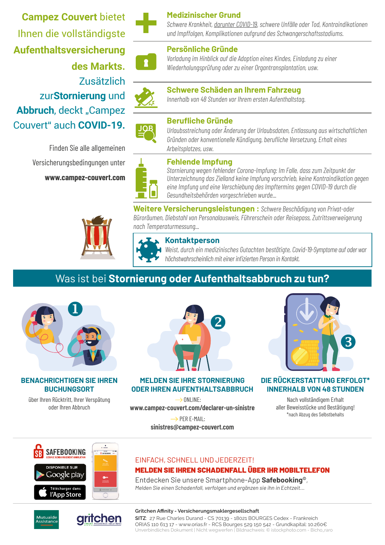**Campez Couvert** bietet Ihnen die vollständigste **Aufenthaltsversicherung des Markts.** Zusätzlich zur**Stornierung** und **Abbruch**, deckt "Campez Couvert" auch **COVID-19.**

> Finden Sie alle allgemeinen Versicherungsbedingungen unter **www.campez-couvert.com**





### **Schwere Schäden an Ihrem Fahrzeug**

*Innerhalb von 48 Stunden vor Ihrem ersten Aufenthaltstag.*

### **Berufliche Gründe**

**Medizinischer Grund**

**Persönliche Gründe**

*Urlaubsstreichung oder Änderung der Urlaubsdaten, Entlassung aus wirtschaftlichen Gründen oder konventionelle Kündigung, berufliche Versetzung, Erhalt eines Arbeitsplatzes, usw.*

*Schwere Krankheit, darunter COVID-19, schwere Unfälle oder Tod, Kontraindikationen und Impffolgen, Komplikationen aufgrund des Schwangerschaftsstadiums.*

*Vorladung im Hinblick auf die Adoption eines Kindes, Einladung zu einer Wiederholungsprüfung oder zu einer Organtransplantation, usw.*



### **Fehlende Impfung**

*Stornierung wegen fehlender Corona-Impfung: Im Falle, dass zum Zeitpunkt der Unterzeichnung das Zielland keine Impfung vorschrieb, keine Kontraindikation gegen eine Impfung und eine Verschiebung des Impftermins gegen COVID-19 durch die Gesundheitsbehörden vorgeschrieben wurde...*

**Weitere Versicherungsleistungen :** *Schwere Beschädigung von Privat-oder Büroräumen, Diebstahl von Personalausweis, Führerschein oder Reisepass, Zutrittsverweigerung nach Temperaturmessung...*



### **Kontaktperson**

*Weist, durch ein medizinisches Gutachten bestätigte, Covid-19-Symptome auf oder war höchstwahrscheinlich mit einer infizierten Person in Kontakt.*

## Was ist bei **Stornierung oder Aufenthaltsabbruch zu tun?**



### **BENACHRICHTIGEN SIE IHREN BUCHUNGSORT**

über Ihren Rücktritt, Ihrer Verspätung oder Ihren Abbruch



### **MELDEN SIE IHRE STORNIERUNG ODER IHREN AUFENTHALTSABBRUCH**

 $\rightarrow$  ONLINE: **www.campez-couvert.com/declarer-un-sinistre**

> $\rightarrow$  PER E-MAIL: **sinistres@campez-couvert.com**



### **DIE RÜCKERSTATTUNG ERFOLGT\* INNERHALB VON 48 STUNDEN**

Nach vollständigem Erhalt aller Beweisstücke und Bestätigung! \*nach Abzug des Selbstbehalts



### EINFACH, SCHNELL UND JEDERZEIT!

### MELDEN SIE IHREN SCHADENFALL ÜBER IHR MOBILTELEFON

Entdecken Sie unsere Smartphone-App **Safebooking©**, *Melden Sie einen Schadenfall, verfolgen und ergänzen sie ihn in Echtzeit...*



### **Gritchen Affinity - Versicherungsmaklergesellschaft**

**SITZ**: 27 Rue Charles Durand - CS 70139 - 18021 BOURGES Cedex - Frankreich ORIAS 110 613 17 - www.orias.fr - RCS Bourges 529 150 542 - Grundkapital: 10.260€ Unverbindliches Dokument | Nicht wegwerfen | Bildnachweis: © istockphoto.com - Bicho\_raro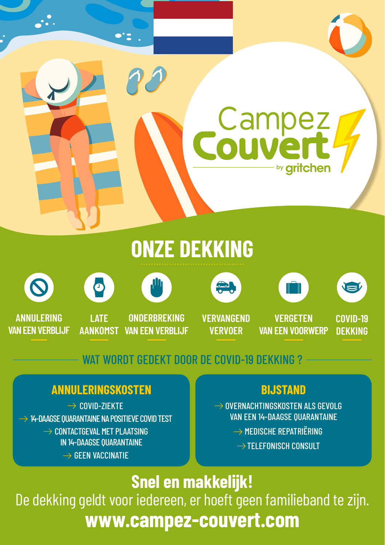# **ONZE DEKKING**













by gritcher

**Campez**<br>Couvert



**ANNULERING VAN EEN VERBLIJF**

**LATE AANKOMST**

**ONDERBREKING VAN EEN VERBLIJF** **VERVANGEND VERVOER**

**VERGETEN VAN EEN VOORWERP** **COVID-19 DEKKING**

# WAT WORDT GEDEKT DOOR DE COVID-19 DEKKING ?

# **ANNULERINGSKOSTEN**

 $\rightarrow$  COVID-ZIEKTE  $\rightarrow$  14-DAAGSE QUARANTAINE NA POSITIEVE COVID TEST  $\rightarrow$  CONTACTGEVAL MET PLAATSING IN 14-DAAGSE QUARANTAINE  $\rightarrow$  GEEN VACCINATIE

# **BIJSTAND**

 $\rightarrow$  Overnachtingskosten als gevolg VAN EEN 14-DAAGSE QUARANTAINE  $\rightarrow$  MEDISCHE REPATRIËRING  $\rightarrow$  TELEFONISCH CONSULT

**Snel en makkelijk!** De dekking geldt voor iedereen, er hoeft geen familieband te zijn. **www.campez-couvert.com**